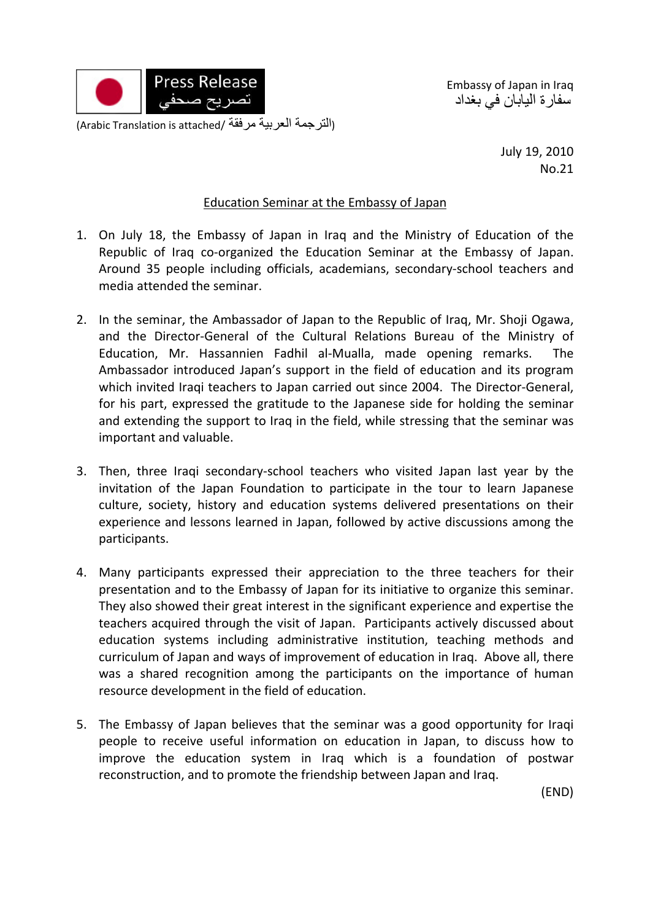

Embassy of Japan in Iraq سفارة اليابان في بغداد

(التر جمة العربية مرفقة /Arabic Translation is attached)

July 19, 2010 No.21

## Education Seminar at the Embassy of Japan

- 1. On July 18, the Embassy of Japan in Iraq and the Ministry of Education of the Republic of Iraq co-organized the Education Seminar at the Embassy of Japan. Around 35 people including officials, academians, secondary‐school teachers and media attended the seminar.
- 2. In the seminar, the Ambassador of Japan to the Republic of Iraq, Mr. Shoji Ogawa, and the Director‐General of the Cultural Relations Bureau of the Ministry of Education, Mr. Hassannien Fadhil al‐Mualla, made opening remarks. The Ambassador introduced Japan's support in the field of education and its program which invited Iraqi teachers to Japan carried out since 2004. The Director‐General, for his part, expressed the gratitude to the Japanese side for holding the seminar and extending the support to Iraq in the field, while stressing that the seminar was important and valuable.
- 3. Then, three Iraqi secondary‐school teachers who visited Japan last year by the invitation of the Japan Foundation to participate in the tour to learn Japanese culture, society, history and education systems delivered presentations on their experience and lessons learned in Japan, followed by active discussions among the participants.
- 4. Many participants expressed their appreciation to the three teachers for their presentation and to the Embassy of Japan for its initiative to organize this seminar. They also showed their great interest in the significant experience and expertise the teachers acquired through the visit of Japan. Participants actively discussed about education systems including administrative institution, teaching methods and curriculum of Japan and ways of improvement of education in Iraq. Above all, there was a shared recognition among the participants on the importance of human resource development in the field of education.
- 5. The Embassy of Japan believes that the seminar was a good opportunity for Iraqi people to receive useful information on education in Japan, to discuss how to improve the education system in Iraq which is a foundation of postwar reconstruction, and to promote the friendship between Japan and Iraq.

(END)